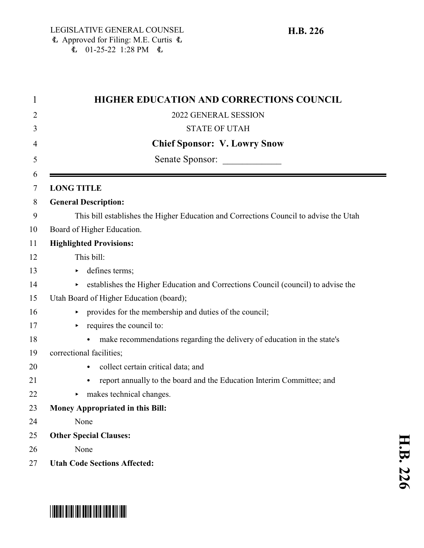| 1      | HIGHER EDUCATION AND CORRECTIONS COUNCIL                                               |
|--------|----------------------------------------------------------------------------------------|
| 2      | 2022 GENERAL SESSION                                                                   |
| 3      | <b>STATE OF UTAH</b>                                                                   |
| 4      | <b>Chief Sponsor: V. Lowry Snow</b>                                                    |
| 5      | Senate Sponsor:                                                                        |
| 6<br>7 | <b>LONG TITLE</b>                                                                      |
| 8      | <b>General Description:</b>                                                            |
| 9      | This bill establishes the Higher Education and Corrections Council to advise the Utah  |
| 10     | Board of Higher Education.                                                             |
| 11     | <b>Highlighted Provisions:</b>                                                         |
| 12     | This bill:                                                                             |
| 13     | defines terms;                                                                         |
| 14     | establishes the Higher Education and Corrections Council (council) to advise the<br>Þ. |
| 15     | Utah Board of Higher Education (board);                                                |
| 16     | provides for the membership and duties of the council;                                 |
| 17     | requires the council to:                                                               |
| 18     | make recommendations regarding the delivery of education in the state's                |
| 19     | correctional facilities;                                                               |
| 20     | collect certain critical data; and<br>$\bullet$                                        |
| 21     | report annually to the board and the Education Interim Committee; and                  |
| 22     | makes technical changes.                                                               |
| 23     | <b>Money Appropriated in this Bill:</b>                                                |
| 24     | None                                                                                   |
| 25     | <b>Other Special Clauses:</b>                                                          |
| 26     | None                                                                                   |
| 27     | <b>Utah Code Sections Affected:</b>                                                    |

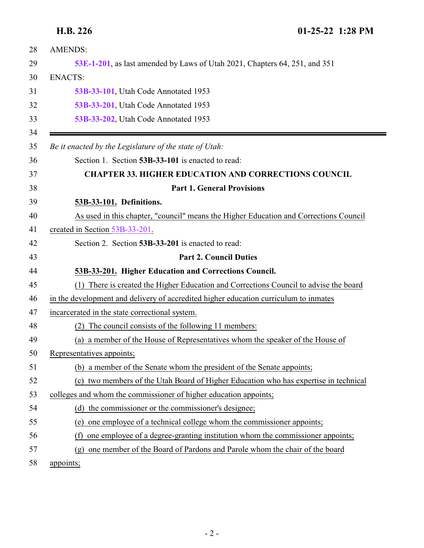<span id="page-1-1"></span><span id="page-1-0"></span>

| 28       | <b>AMENDS:</b>                                                                           |
|----------|------------------------------------------------------------------------------------------|
| 29       | 53E-1-201, as last amended by Laws of Utah 2021, Chapters 64, 251, and 351               |
| 30       | <b>ENACTS:</b>                                                                           |
| 31       | 53B-33-101, Utah Code Annotated 1953                                                     |
| 32       | 53B-33-201, Utah Code Annotated 1953                                                     |
| 33       | 53B-33-202, Utah Code Annotated 1953                                                     |
| 34<br>35 | Be it enacted by the Legislature of the state of Utah:                                   |
| 36       | Section 1. Section 53B-33-101 is enacted to read:                                        |
| 37       | <b>CHAPTER 33. HIGHER EDUCATION AND CORRECTIONS COUNCIL</b>                              |
| 38       | <b>Part 1. General Provisions</b>                                                        |
| 39       | 53B-33-101. Definitions.                                                                 |
| 40       | As used in this chapter, "council" means the Higher Education and Corrections Council    |
| 41       | created in Section 53B-33-201.                                                           |
| 42       | Section 2. Section 53B-33-201 is enacted to read:                                        |
| 43       | <b>Part 2. Council Duties</b>                                                            |
| 44       | 53B-33-201. Higher Education and Corrections Council.                                    |
| 45       | There is created the Higher Education and Corrections Council to advise the board<br>(1) |
| 46       | in the development and delivery of accredited higher education curriculum to inmates     |
| 47       | incarcerated in the state correctional system.                                           |
| 48       | The council consists of the following 11 members:<br>(2)                                 |
| 49       | (a) a member of the House of Representatives whom the speaker of the House of            |
| 50       | Representatives appoints;                                                                |
| 51       | (b) a member of the Senate whom the president of the Senate appoints;                    |
| 52       | (c) two members of the Utah Board of Higher Education who has expertise in technical     |
| 53       | colleges and whom the commissioner of higher education appoints;                         |
| 54       | (d) the commissioner or the commissioner's designee;                                     |
| 55       | one employee of a technical college whom the commissioner appoints;<br>(e)               |
| 56       | one employee of a degree-granting institution whom the commissioner appoints;<br>(f)     |
| 57       | one member of the Board of Pardons and Parole whom the chair of the board<br>(g)         |
| 58       | appoints;                                                                                |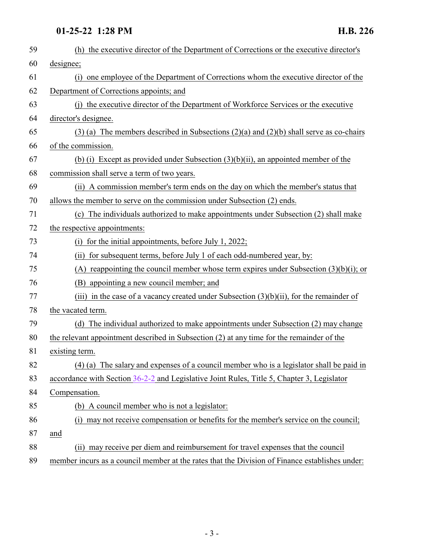## **01-25-22 1:28 PM H.B. 226**

| 59 | (h) the executive director of the Department of Corrections or the executive director's       |
|----|-----------------------------------------------------------------------------------------------|
| 60 | designee;                                                                                     |
| 61 | one employee of the Department of Corrections whom the executive director of the<br>(i)       |
| 62 | Department of Corrections appoints; and                                                       |
| 63 | (i) the executive director of the Department of Workforce Services or the executive           |
| 64 | director's designee.                                                                          |
| 65 | $(3)$ (a) The members described in Subsections $(2)(a)$ and $(2)(b)$ shall serve as co-chairs |
| 66 | of the commission.                                                                            |
| 67 | (b) (i) Except as provided under Subsection $(3)(b)(ii)$ , an appointed member of the         |
| 68 | commission shall serve a term of two years.                                                   |
| 69 | (ii) A commission member's term ends on the day on which the member's status that             |
| 70 | allows the member to serve on the commission under Subsection (2) ends.                       |
| 71 | (c) The individuals authorized to make appointments under Subsection (2) shall make           |
| 72 | the respective appointments:                                                                  |
| 73 | for the initial appointments, before July 1, 2022;<br>(i)                                     |
| 74 | (ii) for subsequent terms, before July 1 of each odd-numbered year, by:                       |
| 75 | (A) reappointing the council member whose term expires under Subsection $(3)(b)(i)$ ; or      |
| 76 | (B) appointing a new council member; and                                                      |
| 77 | (iii) in the case of a vacancy created under Subsection $(3)(b)(ii)$ , for the remainder of   |
| 78 | the vacated term.                                                                             |
| 79 | (d) The individual authorized to make appointments under Subsection (2) may change            |
| 80 | the relevant appointment described in Subsection (2) at any time for the remainder of the     |
| 81 | existing term.                                                                                |
| 82 | (4) (a) The salary and expenses of a council member who is a legislator shall be paid in      |
| 83 | accordance with Section 36-2-2 and Legislative Joint Rules, Title 5, Chapter 3, Legislator    |
| 84 | Compensation.                                                                                 |
| 85 | (b) A council member who is not a legislator:                                                 |
| 86 | may not receive compensation or benefits for the member's service on the council;<br>(i)      |
| 87 | and                                                                                           |
| 88 | (ii) may receive per diem and reimbursement for travel expenses that the council              |
|    |                                                                                               |

member incurs as a council member at the rates that the Division of Finance establishes under: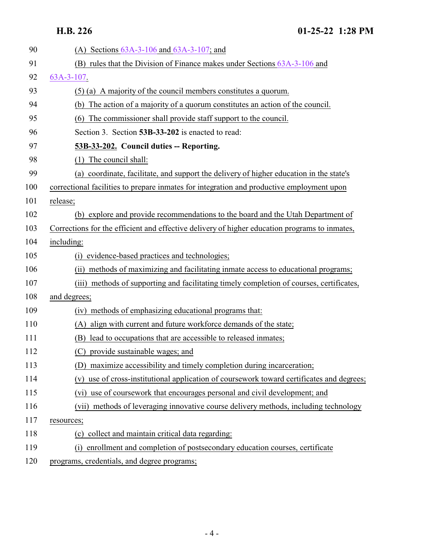<span id="page-3-0"></span>**H.B. 226 01-25-22 1:28 PM**

| 90  | (A) Sections $63A-3-106$ and $63A-3-107$ ; and                                                |
|-----|-----------------------------------------------------------------------------------------------|
| 91  | (B) rules that the Division of Finance makes under Sections $63A-3-106$ and                   |
| 92  | 63A-3-107.                                                                                    |
| 93  | (5) (a) A majority of the council members constitutes a quorum.                               |
| 94  | The action of a majority of a quorum constitutes an action of the council.<br>(b)             |
| 95  | The commissioner shall provide staff support to the council.<br>(6)                           |
| 96  | Section 3. Section 53B-33-202 is enacted to read:                                             |
| 97  | 53B-33-202. Council duties -- Reporting.                                                      |
| 98  | The council shall:<br>(1)                                                                     |
| 99  | coordinate, facilitate, and support the delivery of higher education in the state's<br>(a)    |
| 100 | correctional facilities to prepare inmates for integration and productive employment upon     |
| 101 | release;                                                                                      |
| 102 | (b) explore and provide recommendations to the board and the Utah Department of               |
| 103 | Corrections for the efficient and effective delivery of higher education programs to inmates, |
| 104 | including:                                                                                    |
| 105 | evidence-based practices and technologies;<br>(i)                                             |
| 106 | (ii) methods of maximizing and facilitating inmate access to educational programs;            |
| 107 | (iii) methods of supporting and facilitating timely completion of courses, certificates,      |
| 108 | and degrees;                                                                                  |
| 109 | (iv) methods of emphasizing educational programs that:                                        |
| 110 | (A) align with current and future workforce demands of the state;                             |
| 111 | (B) lead to occupations that are accessible to released inmates;                              |
| 112 | (C) provide sustainable wages; and                                                            |
| 113 | (D) maximize accessibility and timely completion during incarceration;                        |
| 114 | use of cross-institutional application of coursework toward certificates and degrees;<br>(v)  |
| 115 | (vi) use of coursework that encourages personal and civil development; and                    |
| 116 | methods of leveraging innovative course delivery methods, including technology<br>(vii)       |
| 117 | resources;                                                                                    |
| 118 | (c) collect and maintain critical data regarding:                                             |
| 119 | enrollment and completion of postsecondary education courses, certificate<br>(i)              |
| 120 | programs, credentials, and degree programs;                                                   |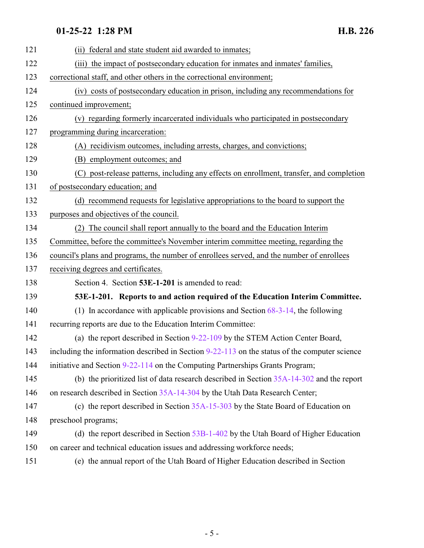# **01-25-22 1:28 PM H.B. 226**

<span id="page-4-0"></span>

| 121 | (ii) federal and state student aid awarded to inmates;                                          |
|-----|-------------------------------------------------------------------------------------------------|
| 122 | (iii) the impact of postsecondary education for inmates and inmates' families,                  |
| 123 | correctional staff, and other others in the correctional environment;                           |
| 124 | (iv) costs of postsecondary education in prison, including any recommendations for              |
| 125 | continued improvement;                                                                          |
| 126 | (v) regarding formerly incarcerated individuals who participated in postsecondary               |
| 127 | programming during incarceration:                                                               |
| 128 | (A) recidivism outcomes, including arrests, charges, and convictions;                           |
| 129 | (B) employment outcomes; and                                                                    |
| 130 | (C) post-release patterns, including any effects on enrollment, transfer, and completion        |
| 131 | of postsecondary education; and                                                                 |
| 132 | (d) recommend requests for legislative appropriations to the board to support the               |
| 133 | purposes and objectives of the council.                                                         |
| 134 | The council shall report annually to the board and the Education Interim                        |
| 135 | Committee, before the committee's November interim committee meeting, regarding the             |
| 136 | council's plans and programs, the number of enrollees served, and the number of enrollees       |
| 137 | receiving degrees and certificates.                                                             |
| 138 | Section 4. Section 53E-1-201 is amended to read:                                                |
| 139 | 53E-1-201. Reports to and action required of the Education Interim Committee.                   |
| 140 | (1) In accordance with applicable provisions and Section $68-3-14$ , the following              |
| 141 | recurring reports are due to the Education Interim Committee:                                   |
| 142 | (a) the report described in Section 9-22-109 by the STEM Action Center Board,                   |
| 143 | including the information described in Section $9-22-113$ on the status of the computer science |
| 144 | initiative and Section 9-22-114 on the Computing Partnerships Grants Program;                   |
| 145 | (b) the prioritized list of data research described in Section $35A-14-302$ and the report      |
| 146 | on research described in Section 35A-14-304 by the Utah Data Research Center;                   |
| 147 | (c) the report described in Section 35A-15-303 by the State Board of Education on               |
| 148 | preschool programs;                                                                             |
| 149 | (d) the report described in Section $53B-1-402$ by the Utah Board of Higher Education           |
| 150 | on career and technical education issues and addressing workforce needs;                        |
| 151 | (e) the annual report of the Utah Board of Higher Education described in Section                |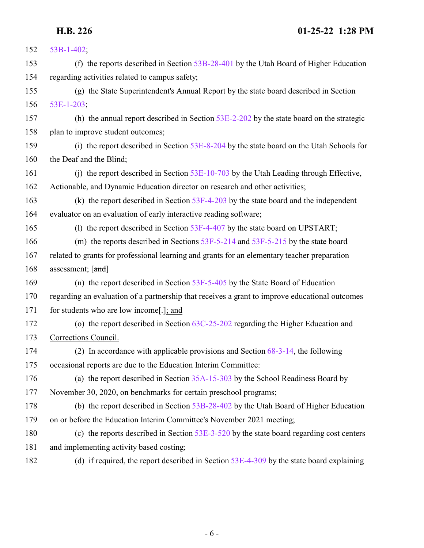| 152 | $53B-1-402$ ;                                                                                  |
|-----|------------------------------------------------------------------------------------------------|
| 153 | (f) the reports described in Section $53B-28-401$ by the Utah Board of Higher Education        |
| 154 | regarding activities related to campus safety;                                                 |
| 155 | (g) the State Superintendent's Annual Report by the state board described in Section           |
| 156 | $53E-1-203$ ;                                                                                  |
| 157 | (h) the annual report described in Section $53E-2-202$ by the state board on the strategic     |
| 158 | plan to improve student outcomes;                                                              |
| 159 | (i) the report described in Section 53E-8-204 by the state board on the Utah Schools for       |
| 160 | the Deaf and the Blind;                                                                        |
| 161 | (i) the report described in Section $53E-10-703$ by the Utah Leading through Effective,        |
| 162 | Actionable, and Dynamic Education director on research and other activities;                   |
| 163 | (k) the report described in Section $53F-4-203$ by the state board and the independent         |
| 164 | evaluator on an evaluation of early interactive reading software;                              |
| 165 | (1) the report described in Section 53F-4-407 by the state board on UPSTART;                   |
| 166 | (m) the reports described in Sections $53F-5-214$ and $53F-5-215$ by the state board           |
| 167 | related to grants for professional learning and grants for an elementary teacher preparation   |
| 168 | assessment; [and]                                                                              |
| 169 | (n) the report described in Section $53F-5-405$ by the State Board of Education                |
| 170 | regarding an evaluation of a partnership that receives a grant to improve educational outcomes |
| 171 | for students who are low income[.]; and                                                        |
| 172 | (o) the report described in Section $63C-25-202$ regarding the Higher Education and            |
| 173 | Corrections Council.                                                                           |
| 174 | (2) In accordance with applicable provisions and Section $68-3-14$ , the following             |
| 175 | occasional reports are due to the Education Interim Committee:                                 |
| 176 | (a) the report described in Section $35A-15-303$ by the School Readiness Board by              |
| 177 | November 30, 2020, on benchmarks for certain preschool programs;                               |
| 178 | (b) the report described in Section 53B-28-402 by the Utah Board of Higher Education           |
| 179 | on or before the Education Interim Committee's November 2021 meeting;                          |
| 180 | (c) the reports described in Section $53E-3-520$ by the state board regarding cost centers     |
| 181 | and implementing activity based costing;                                                       |
| 182 | (d) if required, the report described in Section $53E-4-309$ by the state board explaining     |